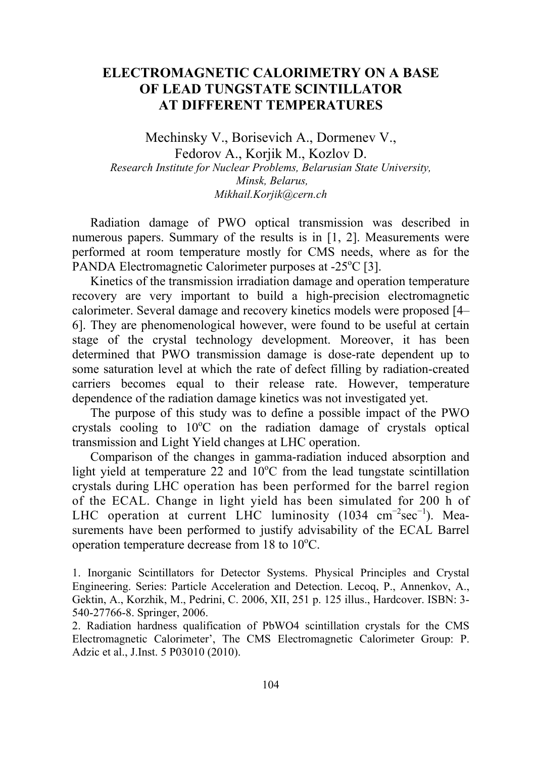## **ELECTROMAGNETIC CALORIMETRY ON A BASE OF LEAD TUNGSTATE SCINTILLATOR AT DIFFERENT TEMPERATURES**

Mechinsky V., Borisevich A., Dormenev V., Fedorov A., Korjik M., Kozlov D. *Research Institute for Nuclear Problems, Belarusian State University, Minsk, Belarus, Mikhail.Korjik@cern.ch* 

Radiation damage of PWO optical transmission was described in numerous papers. Summary of the results is in [1, 2]. Measurements were performed at room temperature mostly for CMS needs, where as for the PANDA Electromagnetic Calorimeter purposes at -25°C [3].

Kinetics of the transmission irradiation damage and operation temperature recovery are very important to build a high-precision electromagnetic calorimeter. Several damage and recovery kinetics models were proposed [4– 6]. They are phenomenological however, were found to be useful at certain stage of the crystal technology development. Moreover, it has been determined that PWO transmission damage is dose-rate dependent up to some saturation level at which the rate of defect filling by radiation-created carriers becomes equal to their release rate. However, temperature dependence of the radiation damage kinetics was not investigated yet.

The purpose of this study was to define a possible impact of the PWO crystals cooling to 10°C on the radiation damage of crystals optical transmission and Light Yield changes at LHC operation.

Comparison of the changes in gamma-radiation induced absorption and light yield at temperature  $22$  and  $10^{\circ}$ C from the lead tungstate scintillation crystals during LHC operation has been performed for the barrel region of the ECAL. Change in light yield has been simulated for 200 h of LHC operation at current LHC luminosity (1034 cm<sup>-2</sup>sec<sup>-1</sup>). Measurements have been performed to justify advisability of the ECAL Barrel operation temperature decrease from  $18$  to  $10^{\circ}$ C.

1. Inorganic Scintillators for Detector Systems. Physical Principles and Crystal Engineering. Series: Particle Acceleration and Detection. Lecoq, P., Annenkov, A., Gektin, A., Korzhik, M., Pedrini, C. 2006, XII, 251 p. 125 illus., Hardcover. ISBN: 3- 540-27766-8. Springer, 2006.

2. Radiation hardness qualification of PbWO4 scintillation crystals for the CMS Electromagnetic Calorimeter', The CMS Electromagnetic Calorimeter Group: P. Adzic et al., J.Inst. 5 P03010 (2010).